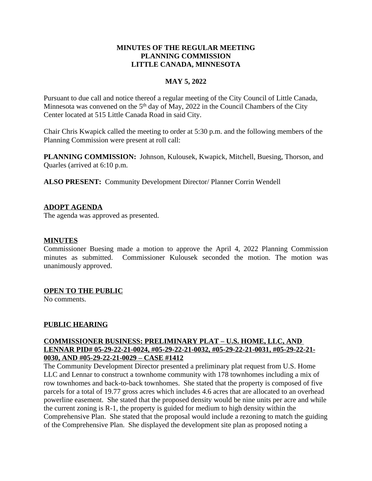## **MINUTES OF THE REGULAR MEETING PLANNING COMMISSION LITTLE CANADA, MINNESOTA**

## **MAY 5, 2022**

Pursuant to due call and notice thereof a regular meeting of the City Council of Little Canada, Minnesota was convened on the 5<sup>th</sup> day of May, 2022 in the Council Chambers of the City Center located at 515 Little Canada Road in said City.

Chair Chris Kwapick called the meeting to order at 5:30 p.m. and the following members of the Planning Commission were present at roll call:

**PLANNING COMMISSION:** Johnson, Kulousek, Kwapick, Mitchell, Buesing, Thorson, and Quarles (arrived at 6:10 p.m.

**ALSO PRESENT:** Community Development Director/ Planner Corrin Wendell

## **ADOPT AGENDA**

The agenda was approved as presented.

## **MINUTES**

Commissioner Buesing made a motion to approve the April 4, 2022 Planning Commission minutes as submitted. Commissioner Kulousek seconded the motion. The motion was unanimously approved.

#### **OPEN TO THE PUBLIC**

No comments.

#### **PUBLIC HEARING**

## **COMMISSIONER BUSINESS: PRELIMINARY PLAT – U.S. HOME, LLC, AND LENNAR PID# 05-29-22-21-0024, #05-29-22-21-0032, #05-29-22-21-0031, #05-29-22-21- 0030, AND #05-29-22-21-0029 – CASE #1412**

The Community Development Director presented a preliminary plat request from U.S. Home LLC and Lennar to construct a townhome community with 178 townhomes including a mix of row townhomes and back-to-back townhomes. She stated that the property is composed of five parcels for a total of 19.77 gross acres which includes 4.6 acres that are allocated to an overhead powerline easement. She stated that the proposed density would be nine units per acre and while the current zoning is R-1, the property is guided for medium to high density within the Comprehensive Plan. She stated that the proposal would include a rezoning to match the guiding of the Comprehensive Plan. She displayed the development site plan as proposed noting a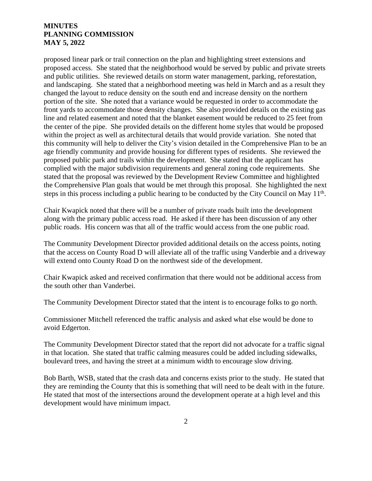proposed linear park or trail connection on the plan and highlighting street extensions and proposed access. She stated that the neighborhood would be served by public and private streets and public utilities. She reviewed details on storm water management, parking, reforestation, and landscaping. She stated that a neighborhood meeting was held in March and as a result they changed the layout to reduce density on the south end and increase density on the northern portion of the site. She noted that a variance would be requested in order to accommodate the front yards to accommodate those density changes. She also provided details on the existing gas line and related easement and noted that the blanket easement would be reduced to 25 feet from the center of the pipe. She provided details on the different home styles that would be proposed within the project as well as architectural details that would provide variation. She noted that this community will help to deliver the City's vision detailed in the Comprehensive Plan to be an age friendly community and provide housing for different types of residents. She reviewed the proposed public park and trails within the development. She stated that the applicant has complied with the major subdivision requirements and general zoning code requirements. She stated that the proposal was reviewed by the Development Review Committee and highlighted the Comprehensive Plan goals that would be met through this proposal. She highlighted the next steps in this process including a public hearing to be conducted by the City Council on May 11<sup>th</sup>.

Chair Kwapick noted that there will be a number of private roads built into the development along with the primary public access road. He asked if there has been discussion of any other public roads. His concern was that all of the traffic would access from the one public road.

The Community Development Director provided additional details on the access points, noting that the access on County Road D will alleviate all of the traffic using Vanderbie and a driveway will extend onto County Road D on the northwest side of the development.

Chair Kwapick asked and received confirmation that there would not be additional access from the south other than Vanderbei.

The Community Development Director stated that the intent is to encourage folks to go north.

Commissioner Mitchell referenced the traffic analysis and asked what else would be done to avoid Edgerton.

The Community Development Director stated that the report did not advocate for a traffic signal in that location. She stated that traffic calming measures could be added including sidewalks, boulevard trees, and having the street at a minimum width to encourage slow driving.

Bob Barth, WSB, stated that the crash data and concerns exists prior to the study. He stated that they are reminding the County that this is something that will need to be dealt with in the future. He stated that most of the intersections around the development operate at a high level and this development would have minimum impact.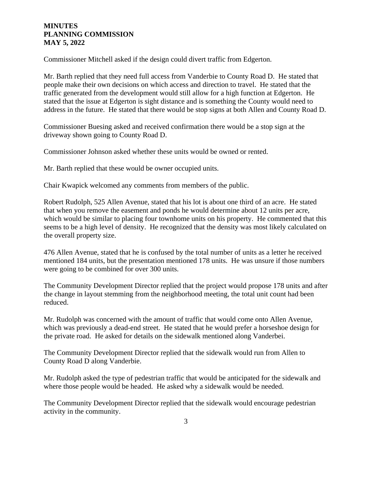Commissioner Mitchell asked if the design could divert traffic from Edgerton.

Mr. Barth replied that they need full access from Vanderbie to County Road D. He stated that people make their own decisions on which access and direction to travel. He stated that the traffic generated from the development would still allow for a high function at Edgerton. He stated that the issue at Edgerton is sight distance and is something the County would need to address in the future. He stated that there would be stop signs at both Allen and County Road D.

Commissioner Buesing asked and received confirmation there would be a stop sign at the driveway shown going to County Road D.

Commissioner Johnson asked whether these units would be owned or rented.

Mr. Barth replied that these would be owner occupied units.

Chair Kwapick welcomed any comments from members of the public.

Robert Rudolph, 525 Allen Avenue, stated that his lot is about one third of an acre. He stated that when you remove the easement and ponds he would determine about 12 units per acre, which would be similar to placing four townhome units on his property. He commented that this seems to be a high level of density. He recognized that the density was most likely calculated on the overall property size.

476 Allen Avenue, stated that he is confused by the total number of units as a letter he received mentioned 184 units, but the presentation mentioned 178 units. He was unsure if those numbers were going to be combined for over 300 units.

The Community Development Director replied that the project would propose 178 units and after the change in layout stemming from the neighborhood meeting, the total unit count had been reduced.

Mr. Rudolph was concerned with the amount of traffic that would come onto Allen Avenue, which was previously a dead-end street. He stated that he would prefer a horseshoe design for the private road. He asked for details on the sidewalk mentioned along Vanderbei.

The Community Development Director replied that the sidewalk would run from Allen to County Road D along Vanderbie.

Mr. Rudolph asked the type of pedestrian traffic that would be anticipated for the sidewalk and where those people would be headed. He asked why a sidewalk would be needed.

The Community Development Director replied that the sidewalk would encourage pedestrian activity in the community.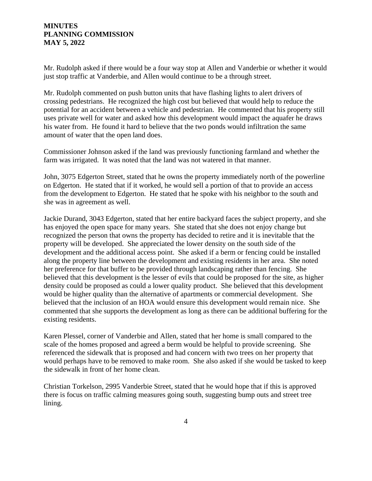Mr. Rudolph asked if there would be a four way stop at Allen and Vanderbie or whether it would just stop traffic at Vanderbie, and Allen would continue to be a through street.

Mr. Rudolph commented on push button units that have flashing lights to alert drivers of crossing pedestrians. He recognized the high cost but believed that would help to reduce the potential for an accident between a vehicle and pedestrian. He commented that his property still uses private well for water and asked how this development would impact the aquafer he draws his water from. He found it hard to believe that the two ponds would infiltration the same amount of water that the open land does.

Commissioner Johnson asked if the land was previously functioning farmland and whether the farm was irrigated. It was noted that the land was not watered in that manner.

John, 3075 Edgerton Street, stated that he owns the property immediately north of the powerline on Edgerton. He stated that if it worked, he would sell a portion of that to provide an access from the development to Edgerton. He stated that he spoke with his neighbor to the south and she was in agreement as well.

Jackie Durand, 3043 Edgerton, stated that her entire backyard faces the subject property, and she has enjoyed the open space for many years. She stated that she does not enjoy change but recognized the person that owns the property has decided to retire and it is inevitable that the property will be developed. She appreciated the lower density on the south side of the development and the additional access point. She asked if a berm or fencing could be installed along the property line between the development and existing residents in her area. She noted her preference for that buffer to be provided through landscaping rather than fencing. She believed that this development is the lesser of evils that could be proposed for the site, as higher density could be proposed as could a lower quality product. She believed that this development would be higher quality than the alternative of apartments or commercial development. She believed that the inclusion of an HOA would ensure this development would remain nice. She commented that she supports the development as long as there can be additional buffering for the existing residents.

Karen Plessel, corner of Vanderbie and Allen, stated that her home is small compared to the scale of the homes proposed and agreed a berm would be helpful to provide screening. She referenced the sidewalk that is proposed and had concern with two trees on her property that would perhaps have to be removed to make room. She also asked if she would be tasked to keep the sidewalk in front of her home clean.

Christian Torkelson, 2995 Vanderbie Street, stated that he would hope that if this is approved there is focus on traffic calming measures going south, suggesting bump outs and street tree lining.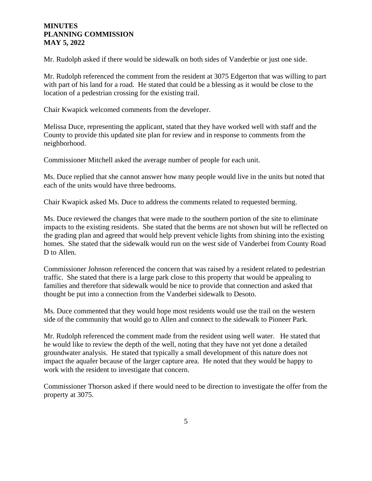Mr. Rudolph asked if there would be sidewalk on both sides of Vanderbie or just one side.

Mr. Rudolph referenced the comment from the resident at 3075 Edgerton that was willing to part with part of his land for a road. He stated that could be a blessing as it would be close to the location of a pedestrian crossing for the existing trail.

Chair Kwapick welcomed comments from the developer.

Melissa Duce, representing the applicant, stated that they have worked well with staff and the County to provide this updated site plan for review and in response to comments from the neighborhood.

Commissioner Mitchell asked the average number of people for each unit.

Ms. Duce replied that she cannot answer how many people would live in the units but noted that each of the units would have three bedrooms.

Chair Kwapick asked Ms. Duce to address the comments related to requested berming.

Ms. Duce reviewed the changes that were made to the southern portion of the site to eliminate impacts to the existing residents. She stated that the berms are not shown but will be reflected on the grading plan and agreed that would help prevent vehicle lights from shining into the existing homes. She stated that the sidewalk would run on the west side of Vanderbei from County Road D to Allen.

Commissioner Johnson referenced the concern that was raised by a resident related to pedestrian traffic. She stated that there is a large park close to this property that would be appealing to families and therefore that sidewalk would be nice to provide that connection and asked that thought be put into a connection from the Vanderbei sidewalk to Desoto.

Ms. Duce commented that they would hope most residents would use the trail on the western side of the community that would go to Allen and connect to the sidewalk to Pioneer Park.

Mr. Rudolph referenced the comment made from the resident using well water. He stated that he would like to review the depth of the well, noting that they have not yet done a detailed groundwater analysis. He stated that typically a small development of this nature does not impact the aquafer because of the larger capture area. He noted that they would be happy to work with the resident to investigate that concern.

Commissioner Thorson asked if there would need to be direction to investigate the offer from the property at 3075.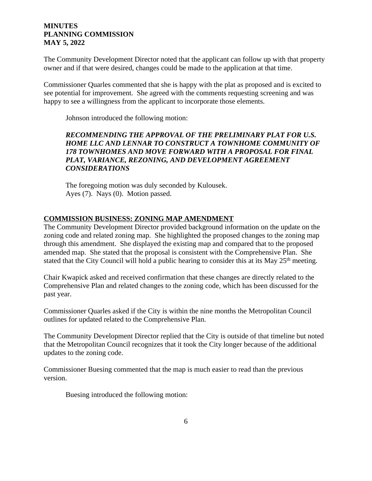The Community Development Director noted that the applicant can follow up with that property owner and if that were desired, changes could be made to the application at that time.

Commissioner Quarles commented that she is happy with the plat as proposed and is excited to see potential for improvement. She agreed with the comments requesting screening and was happy to see a willingness from the applicant to incorporate those elements.

Johnson introduced the following motion:

## *RECOMMENDING THE APPROVAL OF THE PRELIMINARY PLAT FOR U.S. HOME LLC AND LENNAR TO CONSTRUCT A TOWNHOME COMMUNITY OF 178 TOWNHOMES AND MOVE FORWARD WITH A PROPOSAL FOR FINAL PLAT, VARIANCE, REZONING, AND DEVELOPMENT AGREEMENT CONSIDERATIONS*

The foregoing motion was duly seconded by Kulousek. Ayes (7). Nays (0). Motion passed.

## **COMMISSION BUSINESS: ZONING MAP AMENDMENT**

The Community Development Director provided background information on the update on the zoning code and related zoning map. She highlighted the proposed changes to the zoning map through this amendment. She displayed the existing map and compared that to the proposed amended map. She stated that the proposal is consistent with the Comprehensive Plan. She stated that the City Council will hold a public hearing to consider this at its May 25<sup>th</sup> meeting.

Chair Kwapick asked and received confirmation that these changes are directly related to the Comprehensive Plan and related changes to the zoning code, which has been discussed for the past year.

Commissioner Quarles asked if the City is within the nine months the Metropolitan Council outlines for updated related to the Comprehensive Plan.

The Community Development Director replied that the City is outside of that timeline but noted that the Metropolitan Council recognizes that it took the City longer because of the additional updates to the zoning code.

Commissioner Buesing commented that the map is much easier to read than the previous version.

Buesing introduced the following motion: